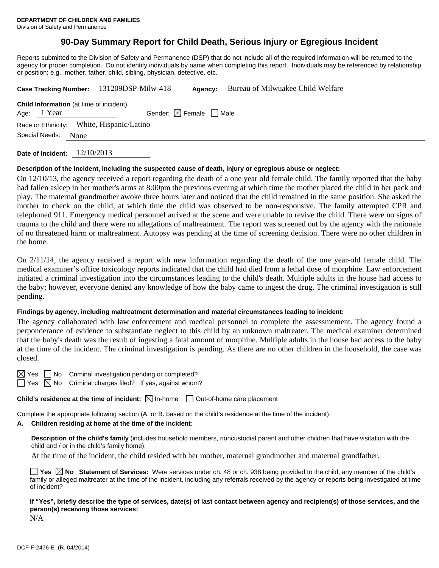# **90-Day Summary Report for Child Death, Serious Injury or Egregious Incident**

Reports submitted to the Division of Safety and Permanence (DSP) that do not include all of the required information will be returned to the agency for proper completion. Do not identify individuals by name when completing this report. Individuals may be referenced by relationship or position; e.g., mother, father, child, sibling, physician, detective, etc.

|                        |             |  | Case Tracking Number: 131209DSP-Milw-418       | Agency:                                | Bureau of Milwuakee Child Welfare |  |  |  |
|------------------------|-------------|--|------------------------------------------------|----------------------------------------|-----------------------------------|--|--|--|
|                        |             |  | <b>Child Information</b> (at time of incident) |                                        |                                   |  |  |  |
|                        | Age: 1 Year |  |                                                | Gender: $\boxtimes$ Female $\Box$ Male |                                   |  |  |  |
|                        |             |  | Race or Ethnicity: White, Hispanic/Latino      |                                        |                                   |  |  |  |
| Special Needs:<br>None |             |  |                                                |                                        |                                   |  |  |  |
|                        |             |  |                                                |                                        |                                   |  |  |  |

**Date of Incident:** 12/10/2013

#### **Description of the incident, including the suspected cause of death, injury or egregious abuse or neglect:**

On 12/10/13, the agency received a report regarding the death of a one year old female child. The family reported that the baby had fallen asleep in her mother's arms at 8:00pm the previous evening at which time the mother placed the child in her pack and play. The maternal grandmother awoke three hours later and noticed that the child remained in the same position. She asked the mother to check on the child, at which time the child was observed to be non-responsive. The family attempted CPR and telephoned 911. Emergency medical personnel arrived at the scene and were unable to revive the child. There were no signs of trauma to the child and there were no allegations of maltreatment. The report was screened out by the agency with the rationale of no threatened harm or maltreatment. Autopsy was pending at the time of screening decision. There were no other children in the home.

On 2/11/14, the agency received a report with new information regarding the death of the one year-old female child. The medical examiner's office toxicology reports indicated that the child had died from a lethal dose of morphine. Law enforcement initiated a criminal investigation into the circumstances leading to the child's death. Multiple adults in the house had access to the baby; however, everyone denied any knowledge of how the baby came to ingest the drug. The criminal investigation is still pending.

### **Findings by agency, including maltreatment determination and material circumstances leading to incident:**

The agency collaborated with law enforcement and medical personnel to complete the assessmement. The agency found a perponderance of evidence to substantiate neglect to this child by an unknown maltreater. The medical examiner determined that the baby's death was the result of ingesting a fatal amount of morphine. Multiple adults in the house had access to the baby at the time of the incident. The criminal investigation is pending. As there are no other children in the household, the case was closed.

 $\boxtimes$  Yes  $\Box$  No Criminal investigation pending or completed?

 $\Box$  Yes  $\boxtimes$  No Criminal charges filed? If yes, against whom?

**Child's residence at the time of incident:**  $\boxtimes$  In-home  $\Box$  Out-of-home care placement

Complete the appropriate following section (A. or B. based on the child's residence at the time of the incident).

## **A. Children residing at home at the time of the incident:**

**Description of the child's family** (includes household members, noncustodial parent and other children that have visitation with the child and / or in the child's family home):

At the time of the incident, the child resided with her mother, maternal grandmother and maternal grandfather.

**Yes No Statement of Services:** Were services under ch. 48 or ch. 938 being provided to the child, any member of the child's family or alleged maltreater at the time of the incident, including any referrals received by the agency or reports being investigated at time of incident?

**If "Yes", briefly describe the type of services, date(s) of last contact between agency and recipient(s) of those services, and the person(s) receiving those services:** 

N/A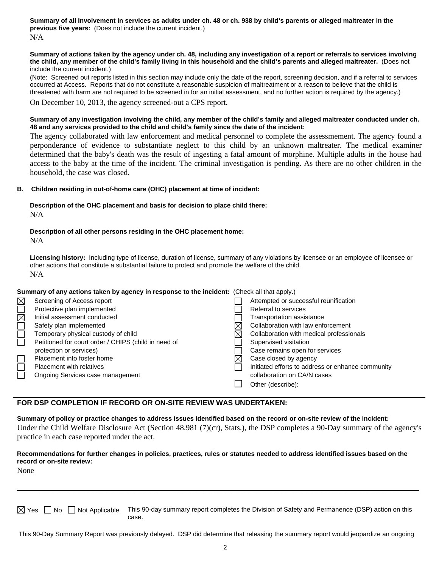**Summary of all involvement in services as adults under ch. 48 or ch. 938 by child's parents or alleged maltreater in the previous five years:** (Does not include the current incident.) N/A

#### **Summary of actions taken by the agency under ch. 48, including any investigation of a report or referrals to services involving the child, any member of the child's family living in this household and the child's parents and alleged maltreater.** (Does not include the current incident.)

(Note: Screened out reports listed in this section may include only the date of the report, screening decision, and if a referral to services occurred at Access. Reports that do not constitute a reasonable suspicion of maltreatment or a reason to believe that the child is threatened with harm are not required to be screened in for an initial assessment, and no further action is required by the agency.)

On December 10, 2013, the agency screened-out a CPS report.

#### **Summary of any investigation involving the child, any member of the child's family and alleged maltreater conducted under ch. 48 and any services provided to the child and child's family since the date of the incident:**

The agency collaborated with law enforcement and medical personnel to complete the assessmement. The agency found a perponderance of evidence to substantiate neglect to this child by an unknown maltreater. The medical examiner determined that the baby's death was the result of ingesting a fatal amount of morphine. Multiple adults in the house had access to the baby at the time of the incident. The criminal investigation is pending. As there are no other children in the household, the case was closed.

### **B. Children residing in out-of-home care (OHC) placement at time of incident:**

### **Description of the OHC placement and basis for decision to place child there:** N/A

#### **Description of all other persons residing in the OHC placement home:** N/A

**Licensing history:** Including type of license, duration of license, summary of any violations by licensee or an employee of licensee or other actions that constitute a substantial failure to protect and promote the welfare of the child. N/A

|             | Summary of any actions taken by agency in response to the incident: (Check all that apply.) |  |                                                   |  |
|-------------|---------------------------------------------------------------------------------------------|--|---------------------------------------------------|--|
| $\boxtimes$ | Screening of Access report                                                                  |  | Attempted or successful reunification             |  |
| $\Box$      | Protective plan implemented                                                                 |  | Referral to services                              |  |
|             | Initial assessment conducted                                                                |  | Transportation assistance                         |  |
|             | Safety plan implemented                                                                     |  | Collaboration with law enforcement                |  |
|             | Temporary physical custody of child                                                         |  | Collaboration with medical professionals          |  |
|             | Petitioned for court order / CHIPS (child in need of                                        |  | Supervised visitation                             |  |
|             | protection or services)                                                                     |  | Case remains open for services                    |  |
|             | Placement into foster home                                                                  |  | Case closed by agency                             |  |
|             | <b>Placement with relatives</b>                                                             |  | Initiated efforts to address or enhance community |  |
|             | Ongoing Services case management                                                            |  | collaboration on CA/N cases                       |  |
|             |                                                                                             |  | Other (describe):                                 |  |

## **FOR DSP COMPLETION IF RECORD OR ON-SITE REVIEW WAS UNDERTAKEN:**

**Summary of policy or practice changes to address issues identified based on the record or on-site review of the incident:** Under the Child Welfare Disclosure Act (Section 48.981 (7)(cr), Stats.), the DSP completes a 90-Day summary of the agency's practice in each case reported under the act.

## **Recommendations for further changes in policies, practices, rules or statutes needed to address identified issues based on the record or on-site review:**

None

 $\boxtimes$  Yes  $\Box$  No  $\Box$  Not Applicable This 90-day summary report completes the Division of Safety and Permanence (DSP) action on this case.

\_\_\_\_\_\_\_\_\_\_\_\_\_\_\_\_\_\_\_\_\_\_\_\_\_\_\_\_\_\_\_\_\_\_\_\_\_\_\_\_\_\_\_\_\_\_\_\_\_\_\_\_\_\_\_\_\_\_\_\_\_\_\_\_\_\_\_\_\_\_\_\_\_\_\_\_\_\_\_\_\_\_\_\_\_\_\_\_\_\_\_\_\_\_\_\_\_\_\_\_\_\_\_\_\_\_\_\_\_\_\_\_

This 90-Day Summary Report was previously delayed. DSP did determine that releasing the summary report would jeopardize an ongoing